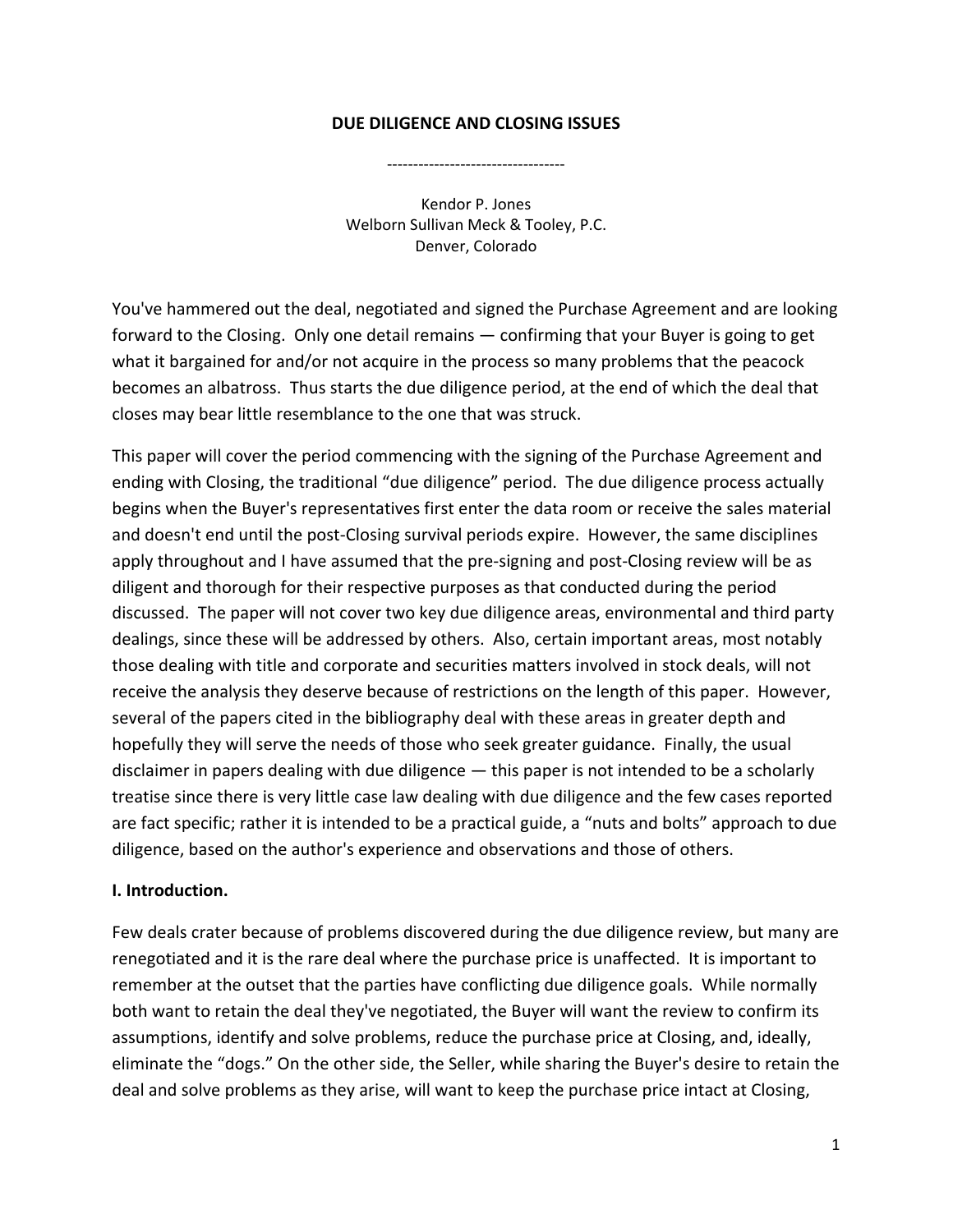#### **DUE DILIGENCE AND CLOSING ISSUES**

‐‐‐‐‐‐‐‐‐‐‐‐‐‐‐‐‐‐‐‐‐‐‐‐‐‐‐‐‐‐‐‐‐‐

Kendor P. Jones Welborn Sullivan Meck & Tooley, P.C. Denver, Colorado

You've hammered out the deal, negotiated and signed the Purchase Agreement and are looking forward to the Closing. Only one detail remains — confirming that your Buyer is going to get what it bargained for and/or not acquire in the process so many problems that the peacock becomes an albatross. Thus starts the due diligence period, at the end of which the deal that closes may bear little resemblance to the one that was struck.

This paper will cover the period commencing with the signing of the Purchase Agreement and ending with Closing, the traditional "due diligence" period. The due diligence process actually begins when the Buyer's representatives first enter the data room or receive the sales material and doesn't end until the post-Closing survival periods expire. However, the same disciplines apply throughout and I have assumed that the pre-signing and post-Closing review will be as diligent and thorough for their respective purposes as that conducted during the period discussed. The paper will not cover two key due diligence areas, environmental and third party dealings, since these will be addressed by others. Also, certain important areas, most notably those dealing with title and corporate and securities matters involved in stock deals, will not receive the analysis they deserve because of restrictions on the length of this paper. However, several of the papers cited in the bibliography deal with these areas in greater depth and hopefully they will serve the needs of those who seek greater guidance. Finally, the usual disclaimer in papers dealing with due diligence — this paper is not intended to be a scholarly treatise since there is very little case law dealing with due diligence and the few cases reported are fact specific; rather it is intended to be a practical guide, a "nuts and bolts" approach to due diligence, based on the author's experience and observations and those of others.

#### **I. Introduction.**

Few deals crater because of problems discovered during the due diligence review, but many are renegotiated and it is the rare deal where the purchase price is unaffected. It is important to remember at the outset that the parties have conflicting due diligence goals. While normally both want to retain the deal they've negotiated, the Buyer will want the review to confirm its assumptions, identify and solve problems, reduce the purchase price at Closing, and, ideally, eliminate the "dogs." On the other side, the Seller, while sharing the Buyer's desire to retain the deal and solve problems as they arise, will want to keep the purchase price intact at Closing,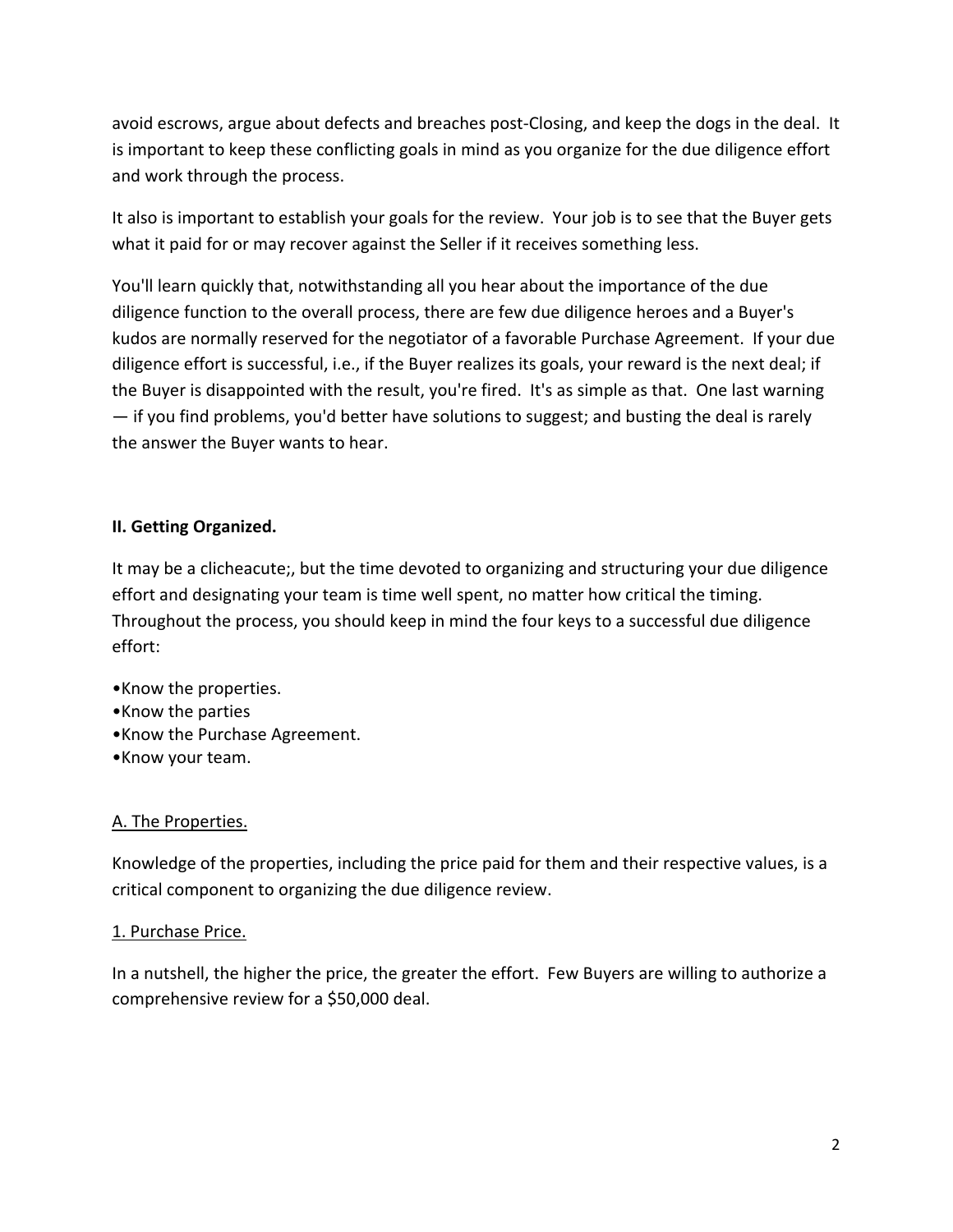avoid escrows, argue about defects and breaches post‐Closing, and keep the dogs in the deal. It is important to keep these conflicting goals in mind as you organize for the due diligence effort and work through the process.

It also is important to establish your goals for the review. Your job is to see that the Buyer gets what it paid for or may recover against the Seller if it receives something less.

You'll learn quickly that, notwithstanding all you hear about the importance of the due diligence function to the overall process, there are few due diligence heroes and a Buyer's kudos are normally reserved for the negotiator of a favorable Purchase Agreement. If your due diligence effort is successful, i.e., if the Buyer realizes its goals, your reward is the next deal; if the Buyer is disappointed with the result, you're fired. It's as simple as that. One last warning — if you find problems, you'd better have solutions to suggest; and busting the deal is rarely the answer the Buyer wants to hear.

## **II. Getting Organized.**

It may be a clicheacute;, but the time devoted to organizing and structuring your due diligence effort and designating your team is time well spent, no matter how critical the timing. Throughout the process, you should keep in mind the four keys to a successful due diligence effort:

- •Know the properties.
- •Know the parties
- •Know the Purchase Agreement.
- •Know your team.

## A. The Properties.

Knowledge of the properties, including the price paid for them and their respective values, is a critical component to organizing the due diligence review.

## 1. Purchase Price.

In a nutshell, the higher the price, the greater the effort. Few Buyers are willing to authorize a comprehensive review for a \$50,000 deal.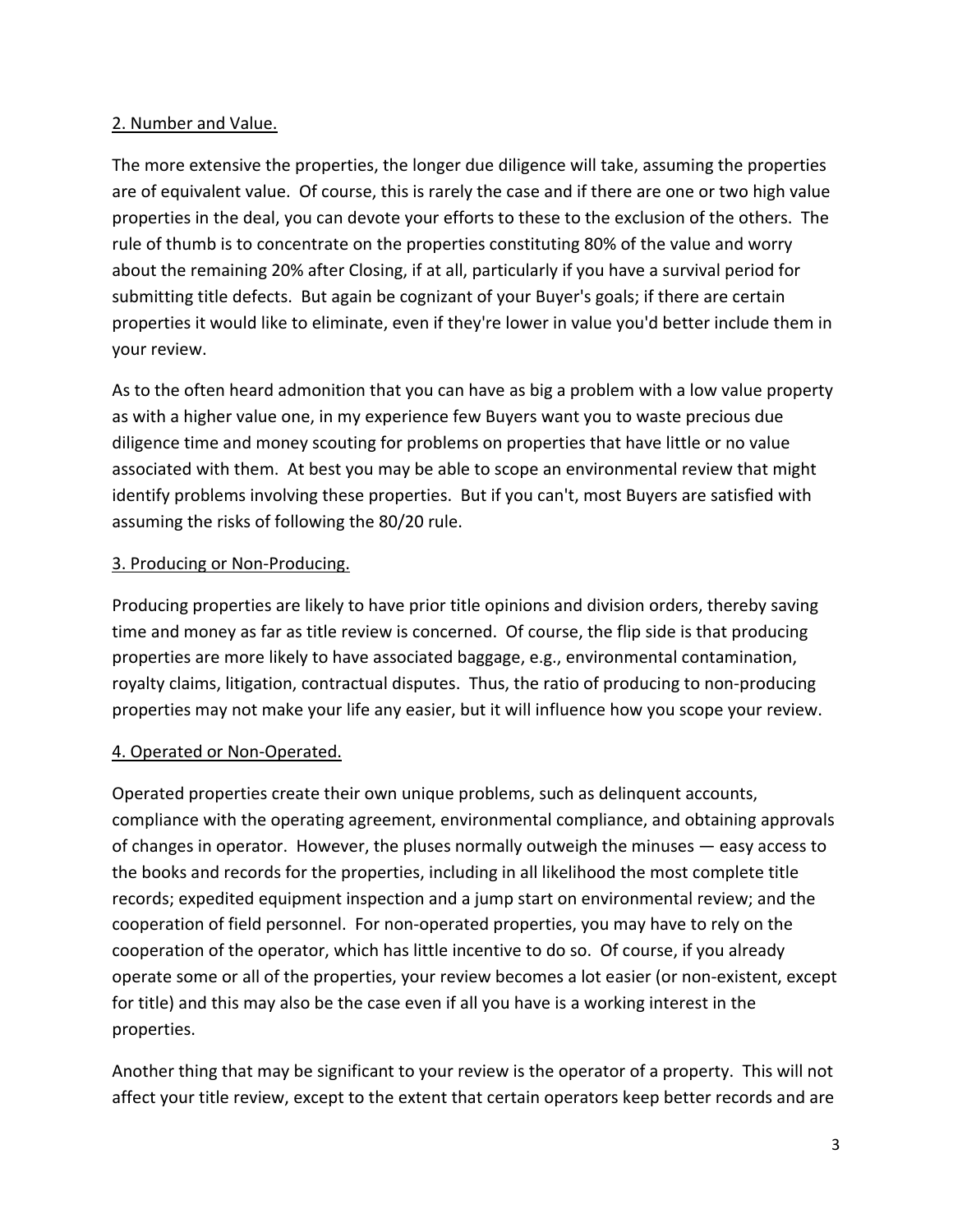### 2. Number and Value.

The more extensive the properties, the longer due diligence will take, assuming the properties are of equivalent value. Of course, this is rarely the case and if there are one or two high value properties in the deal, you can devote your efforts to these to the exclusion of the others. The rule of thumb is to concentrate on the properties constituting 80% of the value and worry about the remaining 20% after Closing, if at all, particularly if you have a survival period for submitting title defects. But again be cognizant of your Buyer's goals; if there are certain properties it would like to eliminate, even if they're lower in value you'd better include them in your review.

As to the often heard admonition that you can have as big a problem with a low value property as with a higher value one, in my experience few Buyers want you to waste precious due diligence time and money scouting for problems on properties that have little or no value associated with them. At best you may be able to scope an environmental review that might identify problems involving these properties. But if you can't, most Buyers are satisfied with assuming the risks of following the 80/20 rule.

### 3. Producing or Non‐Producing.

Producing properties are likely to have prior title opinions and division orders, thereby saving time and money as far as title review is concerned. Of course, the flip side is that producing properties are more likely to have associated baggage, e.g., environmental contamination, royalty claims, litigation, contractual disputes. Thus, the ratio of producing to non‐producing properties may not make your life any easier, but it will influence how you scope your review.

#### 4. Operated or Non‐Operated.

Operated properties create their own unique problems, such as delinquent accounts, compliance with the operating agreement, environmental compliance, and obtaining approvals of changes in operator. However, the pluses normally outweigh the minuses — easy access to the books and records for the properties, including in all likelihood the most complete title records; expedited equipment inspection and a jump start on environmental review; and the cooperation of field personnel. For non‐operated properties, you may have to rely on the cooperation of the operator, which has little incentive to do so. Of course, if you already operate some or all of the properties, your review becomes a lot easier (or non‐existent, except for title) and this may also be the case even if all you have is a working interest in the properties.

Another thing that may be significant to your review is the operator of a property. This will not affect your title review, except to the extent that certain operators keep better records and are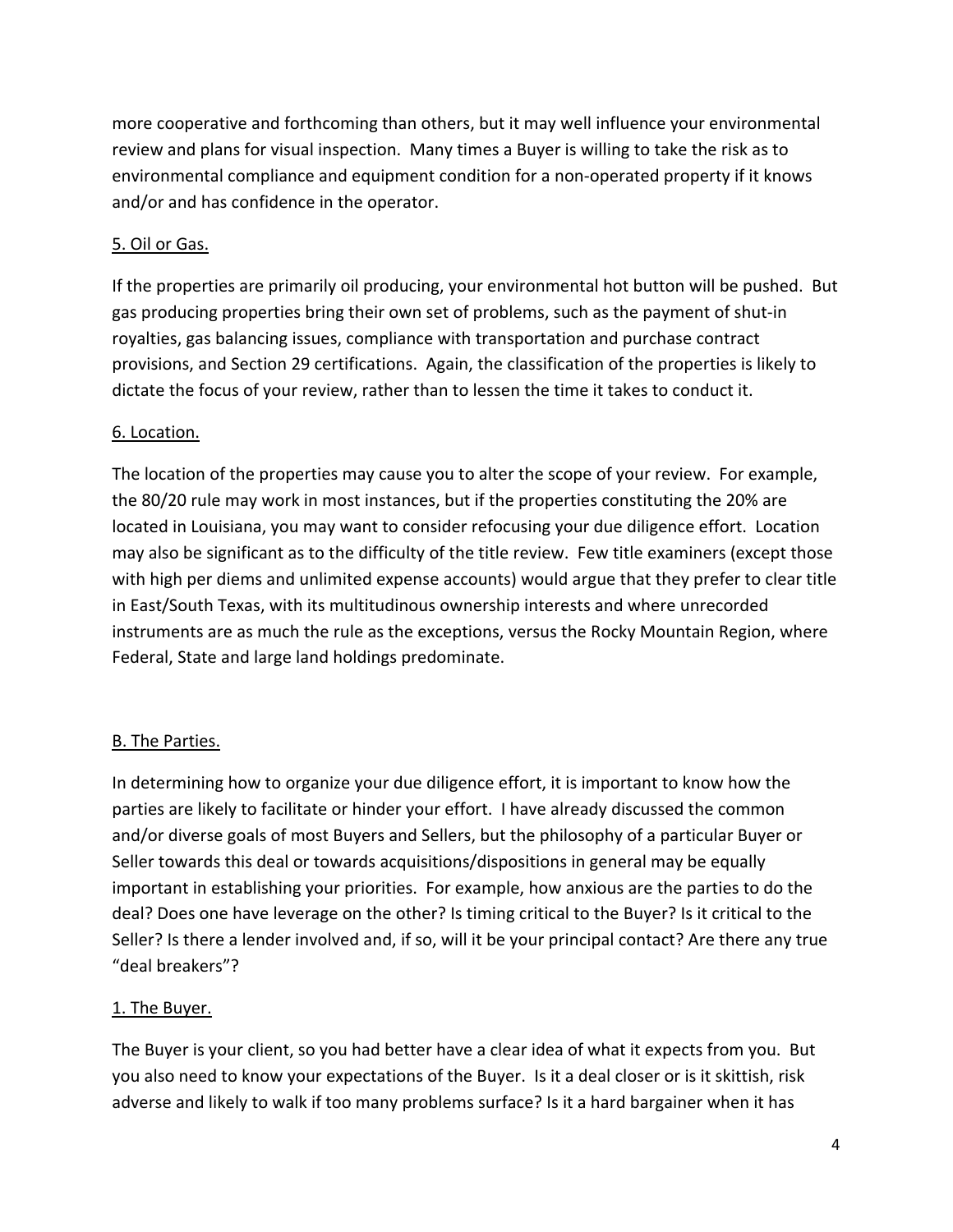more cooperative and forthcoming than others, but it may well influence your environmental review and plans for visual inspection. Many times a Buyer is willing to take the risk as to environmental compliance and equipment condition for a non‐operated property if it knows and/or and has confidence in the operator.

## 5. Oil or Gas.

If the properties are primarily oil producing, your environmental hot button will be pushed. But gas producing properties bring their own set of problems, such as the payment of shut‐in royalties, gas balancing issues, compliance with transportation and purchase contract provisions, and Section 29 certifications. Again, the classification of the properties is likely to dictate the focus of your review, rather than to lessen the time it takes to conduct it.

## 6. Location.

The location of the properties may cause you to alter the scope of your review. For example, the 80/20 rule may work in most instances, but if the properties constituting the 20% are located in Louisiana, you may want to consider refocusing your due diligence effort. Location may also be significant as to the difficulty of the title review. Few title examiners (except those with high per diems and unlimited expense accounts) would argue that they prefer to clear title in East/South Texas, with its multitudinous ownership interests and where unrecorded instruments are as much the rule as the exceptions, versus the Rocky Mountain Region, where Federal, State and large land holdings predominate.

## B. The Parties.

In determining how to organize your due diligence effort, it is important to know how the parties are likely to facilitate or hinder your effort. I have already discussed the common and/or diverse goals of most Buyers and Sellers, but the philosophy of a particular Buyer or Seller towards this deal or towards acquisitions/dispositions in general may be equally important in establishing your priorities. For example, how anxious are the parties to do the deal? Does one have leverage on the other? Is timing critical to the Buyer? Is it critical to the Seller? Is there a lender involved and, if so, will it be your principal contact? Are there any true "deal breakers"?

## 1. The Buyer.

The Buyer is your client, so you had better have a clear idea of what it expects from you. But you also need to know your expectations of the Buyer. Is it a deal closer or is it skittish, risk adverse and likely to walk if too many problems surface? Is it a hard bargainer when it has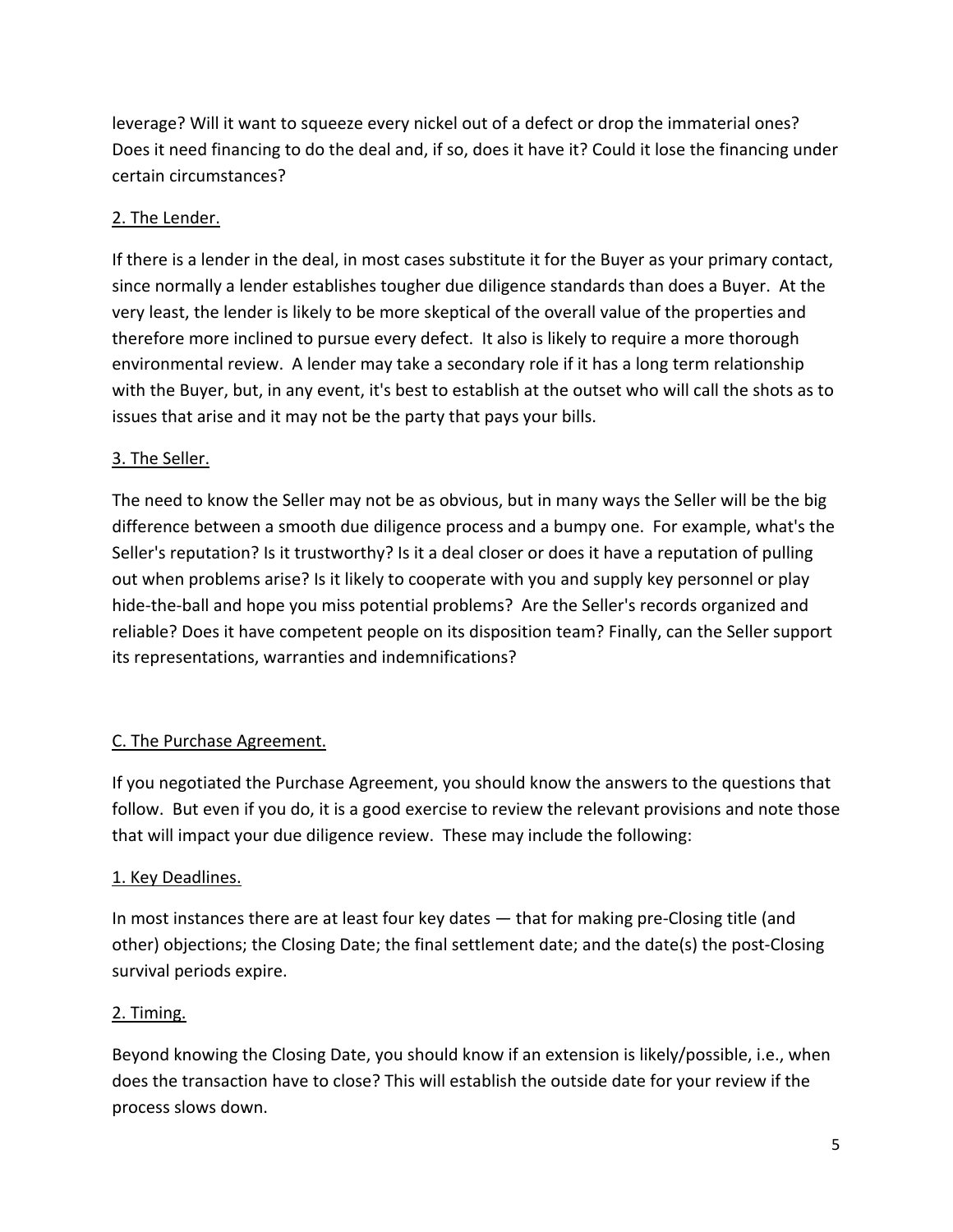leverage? Will it want to squeeze every nickel out of a defect or drop the immaterial ones? Does it need financing to do the deal and, if so, does it have it? Could it lose the financing under certain circumstances?

# 2. The Lender.

If there is a lender in the deal, in most cases substitute it for the Buyer as your primary contact, since normally a lender establishes tougher due diligence standards than does a Buyer. At the very least, the lender is likely to be more skeptical of the overall value of the properties and therefore more inclined to pursue every defect. It also is likely to require a more thorough environmental review. A lender may take a secondary role if it has a long term relationship with the Buyer, but, in any event, it's best to establish at the outset who will call the shots as to issues that arise and it may not be the party that pays your bills.

# 3. The Seller.

The need to know the Seller may not be as obvious, but in many ways the Seller will be the big difference between a smooth due diligence process and a bumpy one. For example, what's the Seller's reputation? Is it trustworthy? Is it a deal closer or does it have a reputation of pulling out when problems arise? Is it likely to cooperate with you and supply key personnel or play hide-the-ball and hope you miss potential problems? Are the Seller's records organized and reliable? Does it have competent people on its disposition team? Finally, can the Seller support its representations, warranties and indemnifications?

# C. The Purchase Agreement.

If you negotiated the Purchase Agreement, you should know the answers to the questions that follow. But even if you do, it is a good exercise to review the relevant provisions and note those that will impact your due diligence review. These may include the following:

## 1. Key Deadlines.

In most instances there are at least four key dates — that for making pre‐Closing title (and other) objections; the Closing Date; the final settlement date; and the date(s) the post‐Closing survival periods expire.

## 2. Timing.

Beyond knowing the Closing Date, you should know if an extension is likely/possible, i.e., when does the transaction have to close? This will establish the outside date for your review if the process slows down.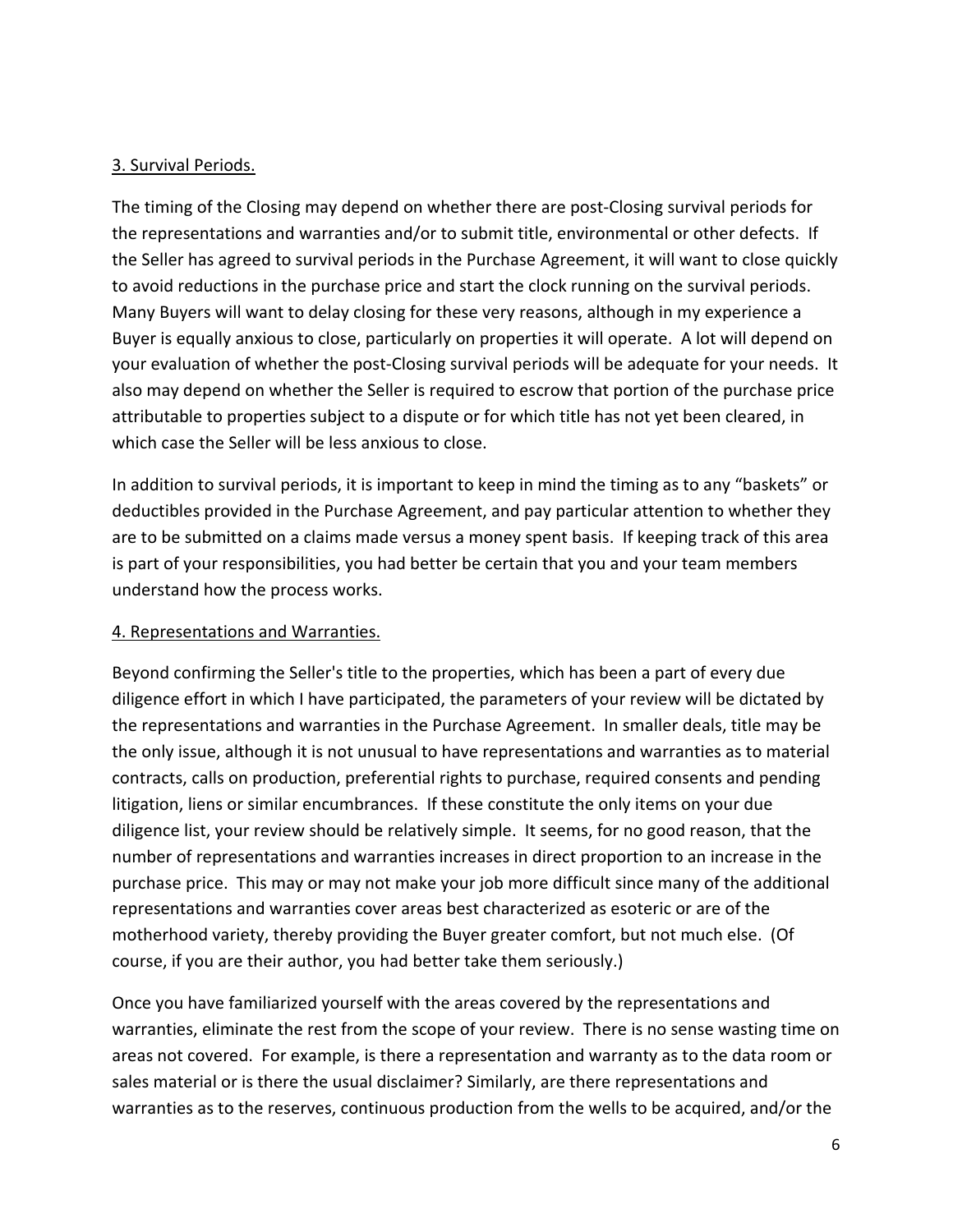## 3. Survival Periods.

The timing of the Closing may depend on whether there are post‐Closing survival periods for the representations and warranties and/or to submit title, environmental or other defects. If the Seller has agreed to survival periods in the Purchase Agreement, it will want to close quickly to avoid reductions in the purchase price and start the clock running on the survival periods. Many Buyers will want to delay closing for these very reasons, although in my experience a Buyer is equally anxious to close, particularly on properties it will operate. A lot will depend on your evaluation of whether the post-Closing survival periods will be adequate for your needs. It also may depend on whether the Seller is required to escrow that portion of the purchase price attributable to properties subject to a dispute or for which title has not yet been cleared, in which case the Seller will be less anxious to close.

In addition to survival periods, it is important to keep in mind the timing as to any "baskets" or deductibles provided in the Purchase Agreement, and pay particular attention to whether they are to be submitted on a claims made versus a money spent basis. If keeping track of this area is part of your responsibilities, you had better be certain that you and your team members understand how the process works.

## 4. Representations and Warranties.

Beyond confirming the Seller's title to the properties, which has been a part of every due diligence effort in which I have participated, the parameters of your review will be dictated by the representations and warranties in the Purchase Agreement. In smaller deals, title may be the only issue, although it is not unusual to have representations and warranties as to material contracts, calls on production, preferential rights to purchase, required consents and pending litigation, liens or similar encumbrances. If these constitute the only items on your due diligence list, your review should be relatively simple. It seems, for no good reason, that the number of representations and warranties increases in direct proportion to an increase in the purchase price. This may or may not make your job more difficult since many of the additional representations and warranties cover areas best characterized as esoteric or are of the motherhood variety, thereby providing the Buyer greater comfort, but not much else. (Of course, if you are their author, you had better take them seriously.)

Once you have familiarized yourself with the areas covered by the representations and warranties, eliminate the rest from the scope of your review. There is no sense wasting time on areas not covered. For example, is there a representation and warranty as to the data room or sales material or is there the usual disclaimer? Similarly, are there representations and warranties as to the reserves, continuous production from the wells to be acquired, and/or the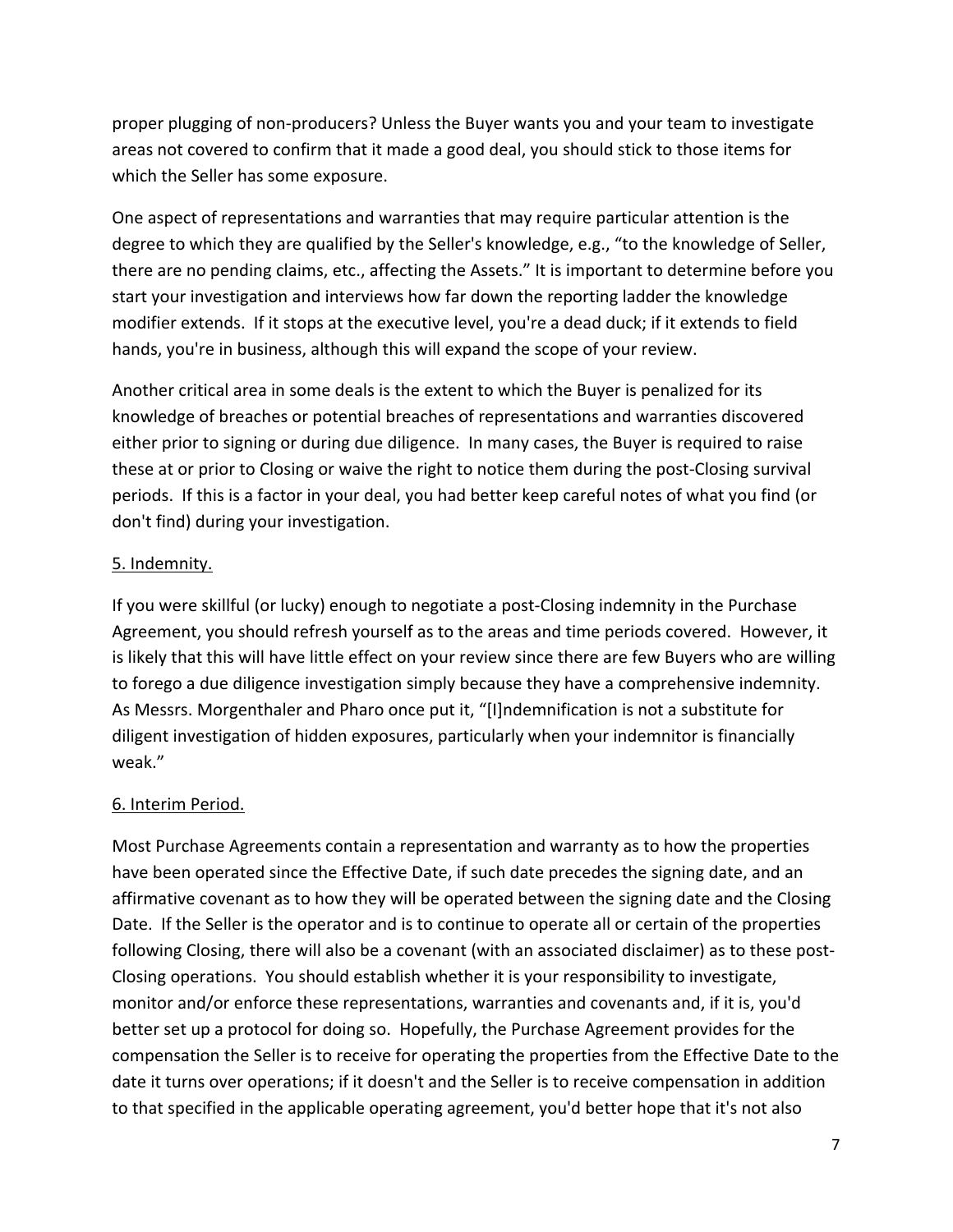proper plugging of non‐producers? Unless the Buyer wants you and your team to investigate areas not covered to confirm that it made a good deal, you should stick to those items for which the Seller has some exposure.

One aspect of representations and warranties that may require particular attention is the degree to which they are qualified by the Seller's knowledge, e.g., "to the knowledge of Seller, there are no pending claims, etc., affecting the Assets." It is important to determine before you start your investigation and interviews how far down the reporting ladder the knowledge modifier extends. If it stops at the executive level, you're a dead duck; if it extends to field hands, you're in business, although this will expand the scope of your review.

Another critical area in some deals is the extent to which the Buyer is penalized for its knowledge of breaches or potential breaches of representations and warranties discovered either prior to signing or during due diligence. In many cases, the Buyer is required to raise these at or prior to Closing or waive the right to notice them during the post‐Closing survival periods. If this is a factor in your deal, you had better keep careful notes of what you find (or don't find) during your investigation.

## 5. Indemnity.

If you were skillful (or lucky) enough to negotiate a post‐Closing indemnity in the Purchase Agreement, you should refresh yourself as to the areas and time periods covered. However, it is likely that this will have little effect on your review since there are few Buyers who are willing to forego a due diligence investigation simply because they have a comprehensive indemnity. As Messrs. Morgenthaler and Pharo once put it, "[I]ndemnification is not a substitute for diligent investigation of hidden exposures, particularly when your indemnitor is financially weak."

## 6. Interim Period.

Most Purchase Agreements contain a representation and warranty as to how the properties have been operated since the Effective Date, if such date precedes the signing date, and an affirmative covenant as to how they will be operated between the signing date and the Closing Date. If the Seller is the operator and is to continue to operate all or certain of the properties following Closing, there will also be a covenant (with an associated disclaimer) as to these post-Closing operations. You should establish whether it is your responsibility to investigate, monitor and/or enforce these representations, warranties and covenants and, if it is, you'd better set up a protocol for doing so. Hopefully, the Purchase Agreement provides for the compensation the Seller is to receive for operating the properties from the Effective Date to the date it turns over operations; if it doesn't and the Seller is to receive compensation in addition to that specified in the applicable operating agreement, you'd better hope that it's not also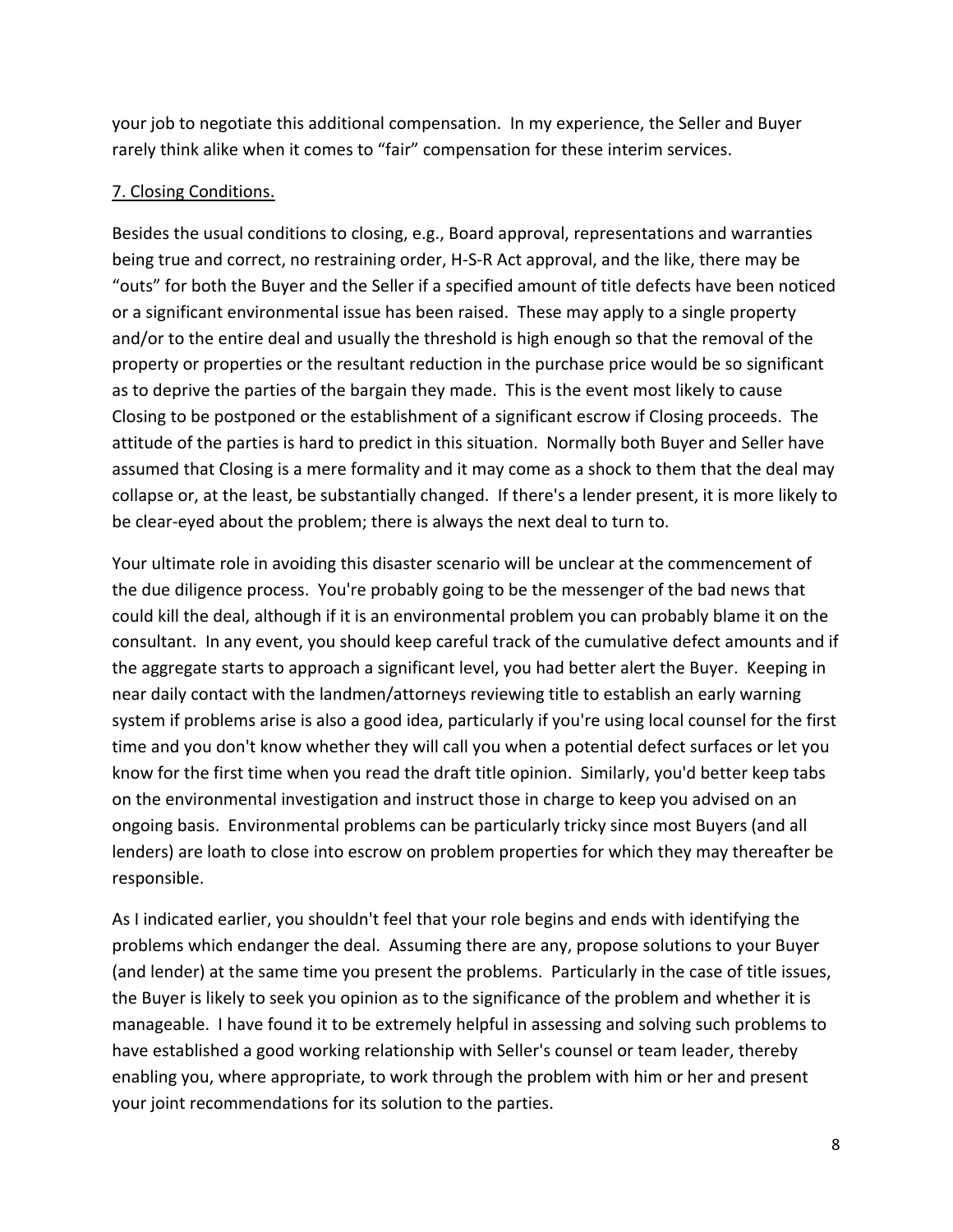your job to negotiate this additional compensation. In my experience, the Seller and Buyer rarely think alike when it comes to "fair" compensation for these interim services.

### 7. Closing Conditions.

Besides the usual conditions to closing, e.g., Board approval, representations and warranties being true and correct, no restraining order, H‐S‐R Act approval, and the like, there may be "outs" for both the Buyer and the Seller if a specified amount of title defects have been noticed or a significant environmental issue has been raised. These may apply to a single property and/or to the entire deal and usually the threshold is high enough so that the removal of the property or properties or the resultant reduction in the purchase price would be so significant as to deprive the parties of the bargain they made. This is the event most likely to cause Closing to be postponed or the establishment of a significant escrow if Closing proceeds. The attitude of the parties is hard to predict in this situation. Normally both Buyer and Seller have assumed that Closing is a mere formality and it may come as a shock to them that the deal may collapse or, at the least, be substantially changed. If there's a lender present, it is more likely to be clear-eyed about the problem; there is always the next deal to turn to.

Your ultimate role in avoiding this disaster scenario will be unclear at the commencement of the due diligence process. You're probably going to be the messenger of the bad news that could kill the deal, although if it is an environmental problem you can probably blame it on the consultant. In any event, you should keep careful track of the cumulative defect amounts and if the aggregate starts to approach a significant level, you had better alert the Buyer. Keeping in near daily contact with the landmen/attorneys reviewing title to establish an early warning system if problems arise is also a good idea, particularly if you're using local counsel for the first time and you don't know whether they will call you when a potential defect surfaces or let you know for the first time when you read the draft title opinion. Similarly, you'd better keep tabs on the environmental investigation and instruct those in charge to keep you advised on an ongoing basis. Environmental problems can be particularly tricky since most Buyers (and all lenders) are loath to close into escrow on problem properties for which they may thereafter be responsible.

As I indicated earlier, you shouldn't feel that your role begins and ends with identifying the problems which endanger the deal. Assuming there are any, propose solutions to your Buyer (and lender) at the same time you present the problems. Particularly in the case of title issues, the Buyer is likely to seek you opinion as to the significance of the problem and whether it is manageable. I have found it to be extremely helpful in assessing and solving such problems to have established a good working relationship with Seller's counsel or team leader, thereby enabling you, where appropriate, to work through the problem with him or her and present your joint recommendations for its solution to the parties.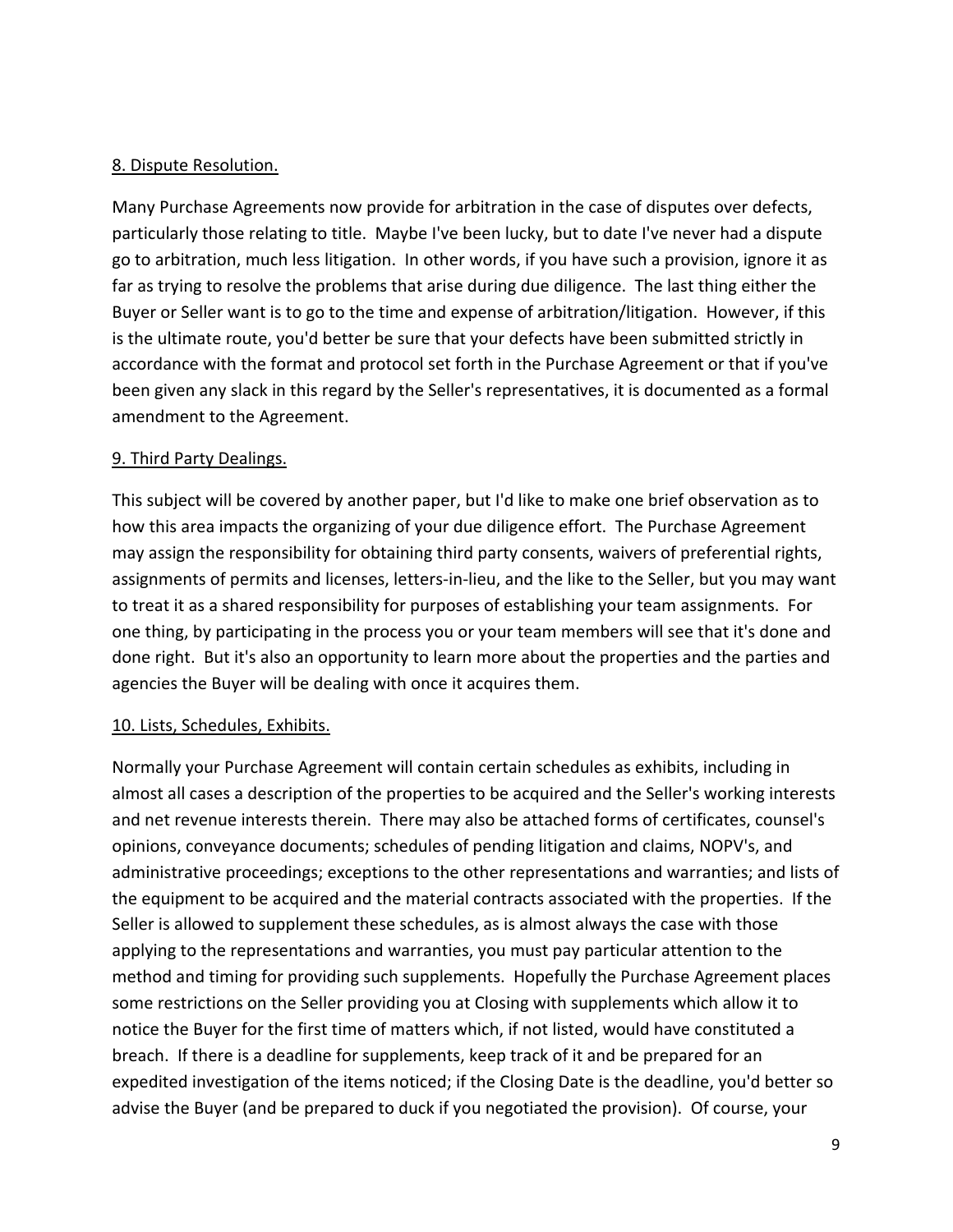### 8. Dispute Resolution.

Many Purchase Agreements now provide for arbitration in the case of disputes over defects, particularly those relating to title. Maybe I've been lucky, but to date I've never had a dispute go to arbitration, much less litigation. In other words, if you have such a provision, ignore it as far as trying to resolve the problems that arise during due diligence. The last thing either the Buyer or Seller want is to go to the time and expense of arbitration/litigation. However, if this is the ultimate route, you'd better be sure that your defects have been submitted strictly in accordance with the format and protocol set forth in the Purchase Agreement or that if you've been given any slack in this regard by the Seller's representatives, it is documented as a formal amendment to the Agreement.

### 9. Third Party Dealings.

This subject will be covered by another paper, but I'd like to make one brief observation as to how this area impacts the organizing of your due diligence effort. The Purchase Agreement may assign the responsibility for obtaining third party consents, waivers of preferential rights, assignments of permits and licenses, letters‐in‐lieu, and the like to the Seller, but you may want to treat it as a shared responsibility for purposes of establishing your team assignments. For one thing, by participating in the process you or your team members will see that it's done and done right. But it's also an opportunity to learn more about the properties and the parties and agencies the Buyer will be dealing with once it acquires them.

#### 10. Lists, Schedules, Exhibits.

Normally your Purchase Agreement will contain certain schedules as exhibits, including in almost all cases a description of the properties to be acquired and the Seller's working interests and net revenue interests therein. There may also be attached forms of certificates, counsel's opinions, conveyance documents; schedules of pending litigation and claims, NOPV's, and administrative proceedings; exceptions to the other representations and warranties; and lists of the equipment to be acquired and the material contracts associated with the properties. If the Seller is allowed to supplement these schedules, as is almost always the case with those applying to the representations and warranties, you must pay particular attention to the method and timing for providing such supplements. Hopefully the Purchase Agreement places some restrictions on the Seller providing you at Closing with supplements which allow it to notice the Buyer for the first time of matters which, if not listed, would have constituted a breach. If there is a deadline for supplements, keep track of it and be prepared for an expedited investigation of the items noticed; if the Closing Date is the deadline, you'd better so advise the Buyer (and be prepared to duck if you negotiated the provision). Of course, your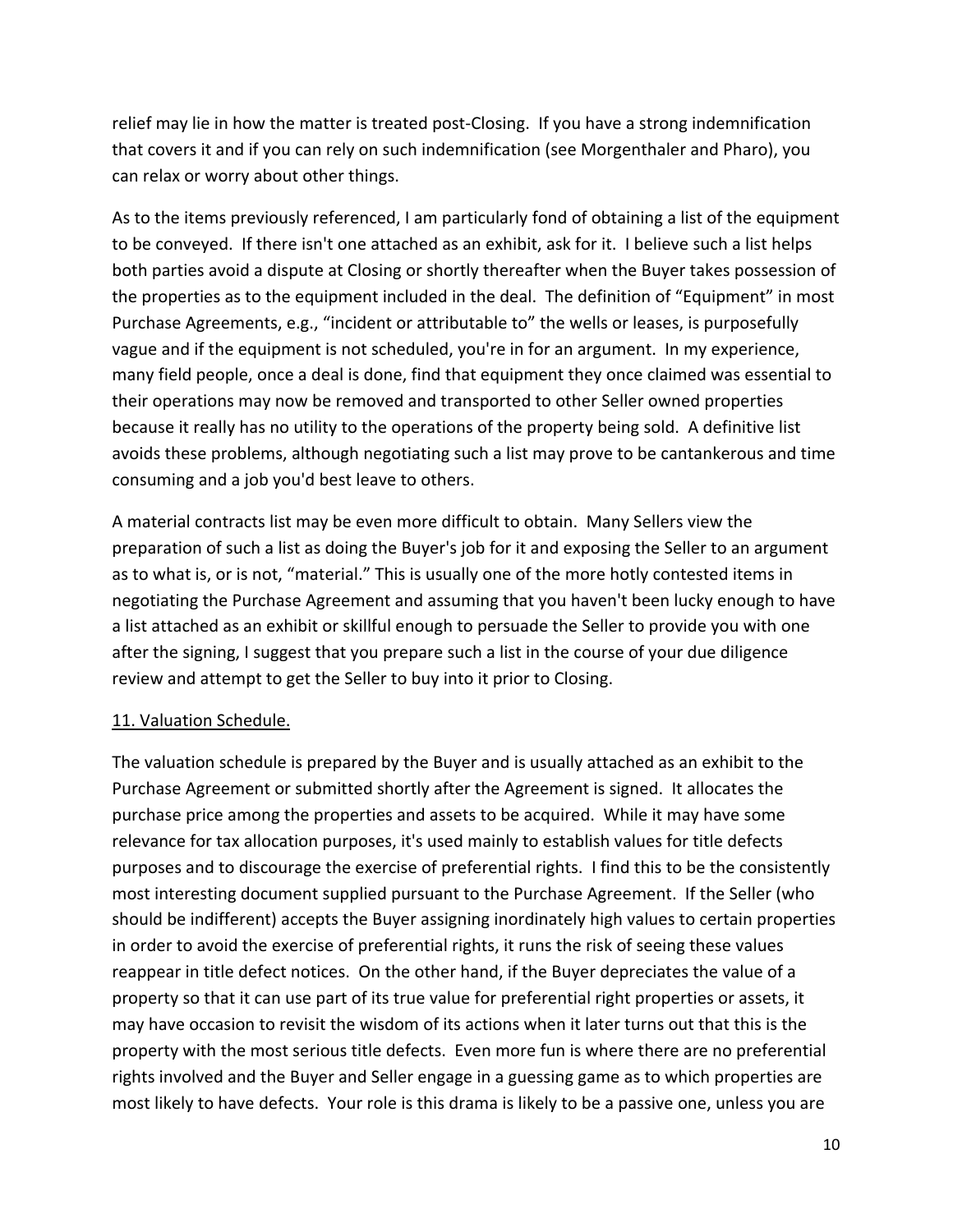relief may lie in how the matter is treated post-Closing. If you have a strong indemnification that covers it and if you can rely on such indemnification (see Morgenthaler and Pharo), you can relax or worry about other things.

As to the items previously referenced, I am particularly fond of obtaining a list of the equipment to be conveyed. If there isn't one attached as an exhibit, ask for it. I believe such a list helps both parties avoid a dispute at Closing or shortly thereafter when the Buyer takes possession of the properties as to the equipment included in the deal. The definition of "Equipment" in most Purchase Agreements, e.g., "incident or attributable to" the wells or leases, is purposefully vague and if the equipment is not scheduled, you're in for an argument. In my experience, many field people, once a deal is done, find that equipment they once claimed was essential to their operations may now be removed and transported to other Seller owned properties because it really has no utility to the operations of the property being sold. A definitive list avoids these problems, although negotiating such a list may prove to be cantankerous and time consuming and a job you'd best leave to others.

A material contracts list may be even more difficult to obtain. Many Sellers view the preparation of such a list as doing the Buyer's job for it and exposing the Seller to an argument as to what is, or is not, "material." This is usually one of the more hotly contested items in negotiating the Purchase Agreement and assuming that you haven't been lucky enough to have a list attached as an exhibit or skillful enough to persuade the Seller to provide you with one after the signing, I suggest that you prepare such a list in the course of your due diligence review and attempt to get the Seller to buy into it prior to Closing.

## 11. Valuation Schedule.

The valuation schedule is prepared by the Buyer and is usually attached as an exhibit to the Purchase Agreement or submitted shortly after the Agreement is signed. It allocates the purchase price among the properties and assets to be acquired. While it may have some relevance for tax allocation purposes, it's used mainly to establish values for title defects purposes and to discourage the exercise of preferential rights. I find this to be the consistently most interesting document supplied pursuant to the Purchase Agreement. If the Seller (who should be indifferent) accepts the Buyer assigning inordinately high values to certain properties in order to avoid the exercise of preferential rights, it runs the risk of seeing these values reappear in title defect notices. On the other hand, if the Buyer depreciates the value of a property so that it can use part of its true value for preferential right properties or assets, it may have occasion to revisit the wisdom of its actions when it later turns out that this is the property with the most serious title defects. Even more fun is where there are no preferential rights involved and the Buyer and Seller engage in a guessing game as to which properties are most likely to have defects. Your role is this drama is likely to be a passive one, unless you are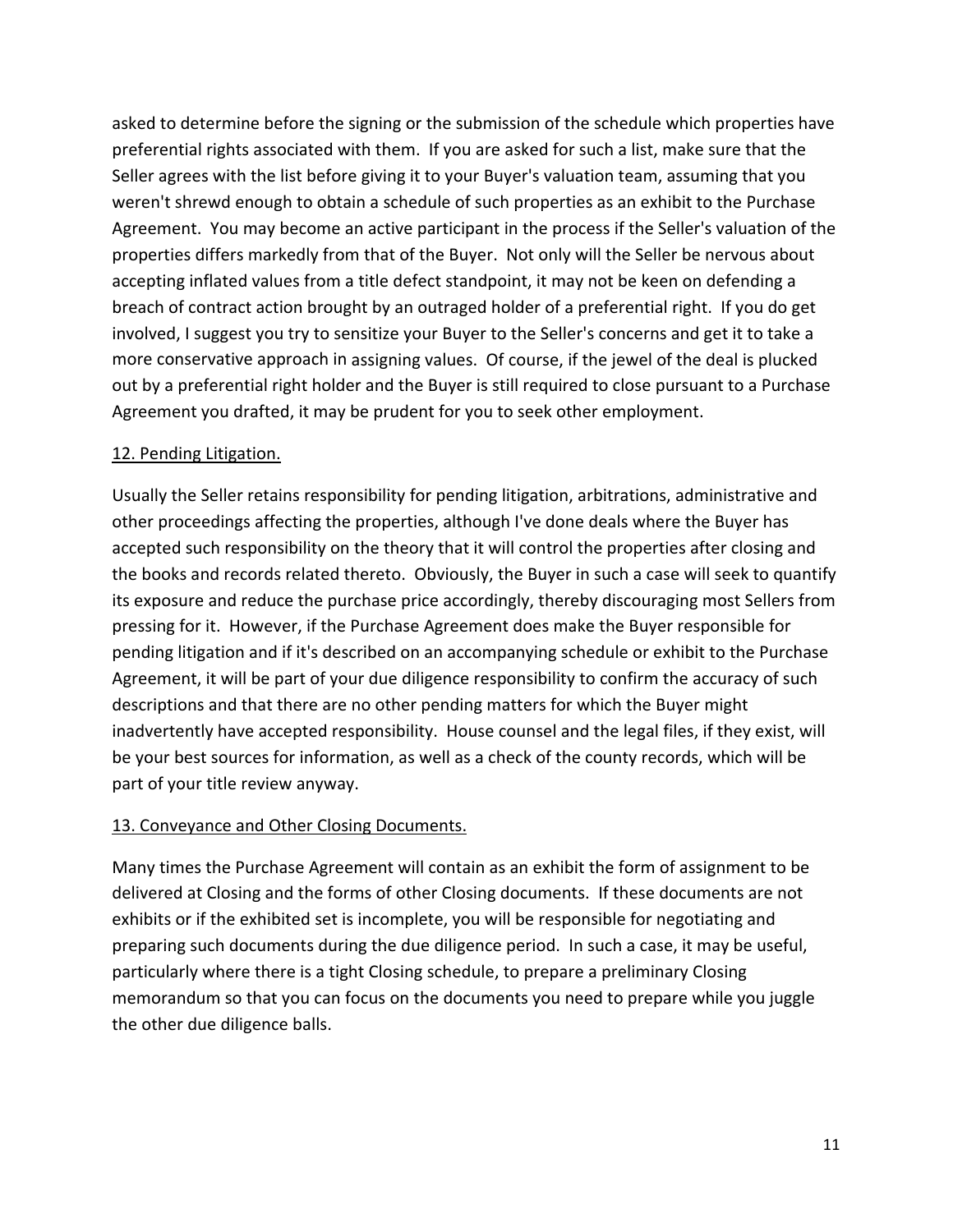asked to determine before the signing or the submission of the schedule which properties have preferential rights associated with them. If you are asked for such a list, make sure that the Seller agrees with the list before giving it to your Buyer's valuation team, assuming that you weren't shrewd enough to obtain a schedule of such properties as an exhibit to the Purchase Agreement. You may become an active participant in the process if the Seller's valuation of the properties differs markedly from that of the Buyer. Not only will the Seller be nervous about accepting inflated values from a title defect standpoint, it may not be keen on defending a breach of contract action brought by an outraged holder of a preferential right. If you do get involved, I suggest you try to sensitize your Buyer to the Seller's concerns and get it to take a more conservative approach in assigning values. Of course, if the jewel of the deal is plucked out by a preferential right holder and the Buyer is still required to close pursuant to a Purchase Agreement you drafted, it may be prudent for you to seek other employment.

## 12. Pending Litigation.

Usually the Seller retains responsibility for pending litigation, arbitrations, administrative and other proceedings affecting the properties, although I've done deals where the Buyer has accepted such responsibility on the theory that it will control the properties after closing and the books and records related thereto. Obviously, the Buyer in such a case will seek to quantify its exposure and reduce the purchase price accordingly, thereby discouraging most Sellers from pressing for it. However, if the Purchase Agreement does make the Buyer responsible for pending litigation and if it's described on an accompanying schedule or exhibit to the Purchase Agreement, it will be part of your due diligence responsibility to confirm the accuracy of such descriptions and that there are no other pending matters for which the Buyer might inadvertently have accepted responsibility. House counsel and the legal files, if they exist, will be your best sources for information, as well as a check of the county records, which will be part of your title review anyway.

## 13. Conveyance and Other Closing Documents.

Many times the Purchase Agreement will contain as an exhibit the form of assignment to be delivered at Closing and the forms of other Closing documents. If these documents are not exhibits or if the exhibited set is incomplete, you will be responsible for negotiating and preparing such documents during the due diligence period. In such a case, it may be useful, particularly where there is a tight Closing schedule, to prepare a preliminary Closing memorandum so that you can focus on the documents you need to prepare while you juggle the other due diligence balls.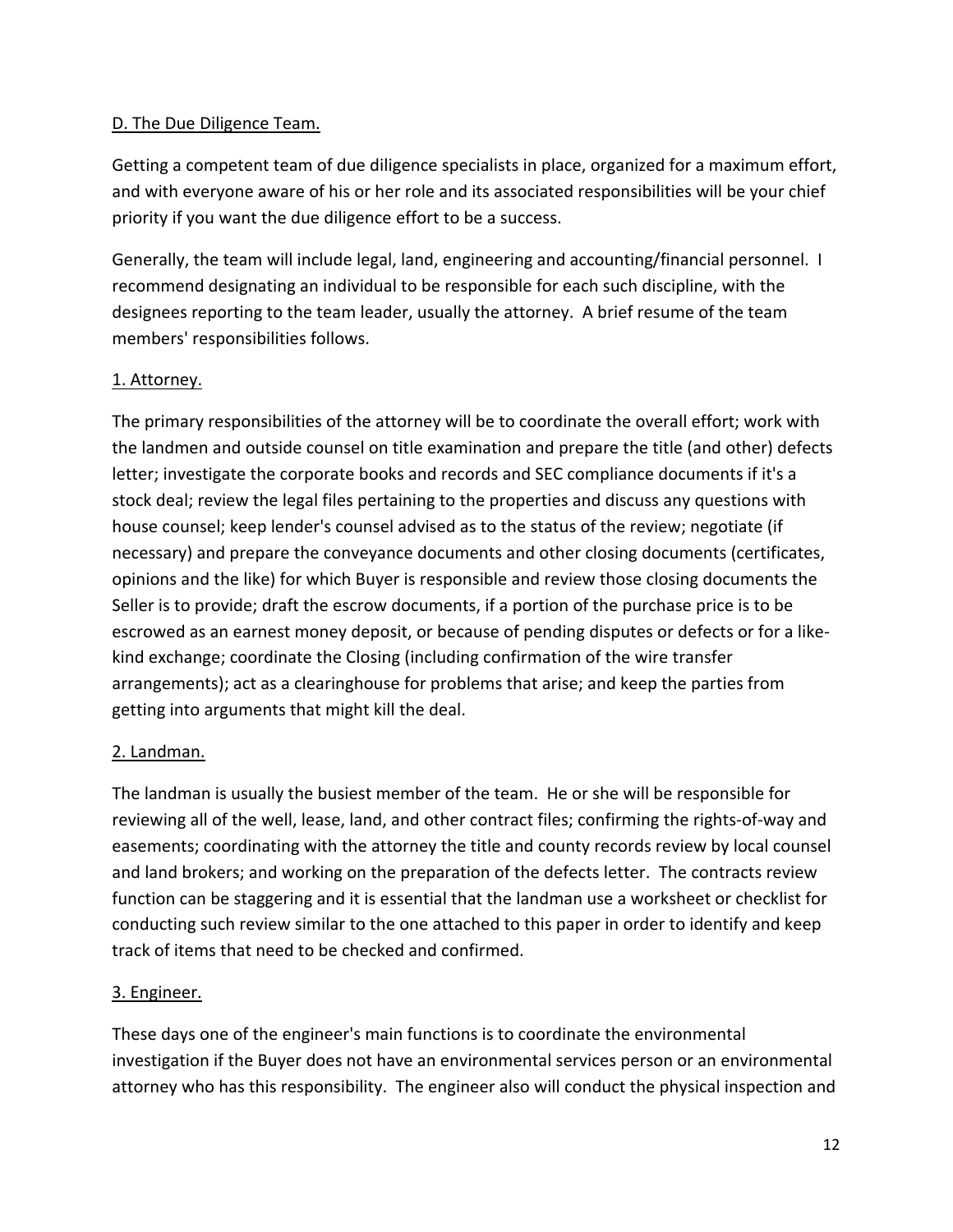## D. The Due Diligence Team.

Getting a competent team of due diligence specialists in place, organized for a maximum effort, and with everyone aware of his or her role and its associated responsibilities will be your chief priority if you want the due diligence effort to be a success.

Generally, the team will include legal, land, engineering and accounting/financial personnel. I recommend designating an individual to be responsible for each such discipline, with the designees reporting to the team leader, usually the attorney. A brief resume of the team members' responsibilities follows.

## 1. Attorney.

The primary responsibilities of the attorney will be to coordinate the overall effort; work with the landmen and outside counsel on title examination and prepare the title (and other) defects letter; investigate the corporate books and records and SEC compliance documents if it's a stock deal; review the legal files pertaining to the properties and discuss any questions with house counsel; keep lender's counsel advised as to the status of the review; negotiate (if necessary) and prepare the conveyance documents and other closing documents (certificates, opinions and the like) for which Buyer is responsible and review those closing documents the Seller is to provide; draft the escrow documents, if a portion of the purchase price is to be escrowed as an earnest money deposit, or because of pending disputes or defects or for a like‐ kind exchange; coordinate the Closing (including confirmation of the wire transfer arrangements); act as a clearinghouse for problems that arise; and keep the parties from getting into arguments that might kill the deal.

## 2. Landman.

The landman is usually the busiest member of the team. He or she will be responsible for reviewing all of the well, lease, land, and other contract files; confirming the rights‐of‐way and easements; coordinating with the attorney the title and county records review by local counsel and land brokers; and working on the preparation of the defects letter. The contracts review function can be staggering and it is essential that the landman use a worksheet or checklist for conducting such review similar to the one attached to this paper in order to identify and keep track of items that need to be checked and confirmed.

## 3. Engineer.

These days one of the engineer's main functions is to coordinate the environmental investigation if the Buyer does not have an environmental services person or an environmental attorney who has this responsibility. The engineer also will conduct the physical inspection and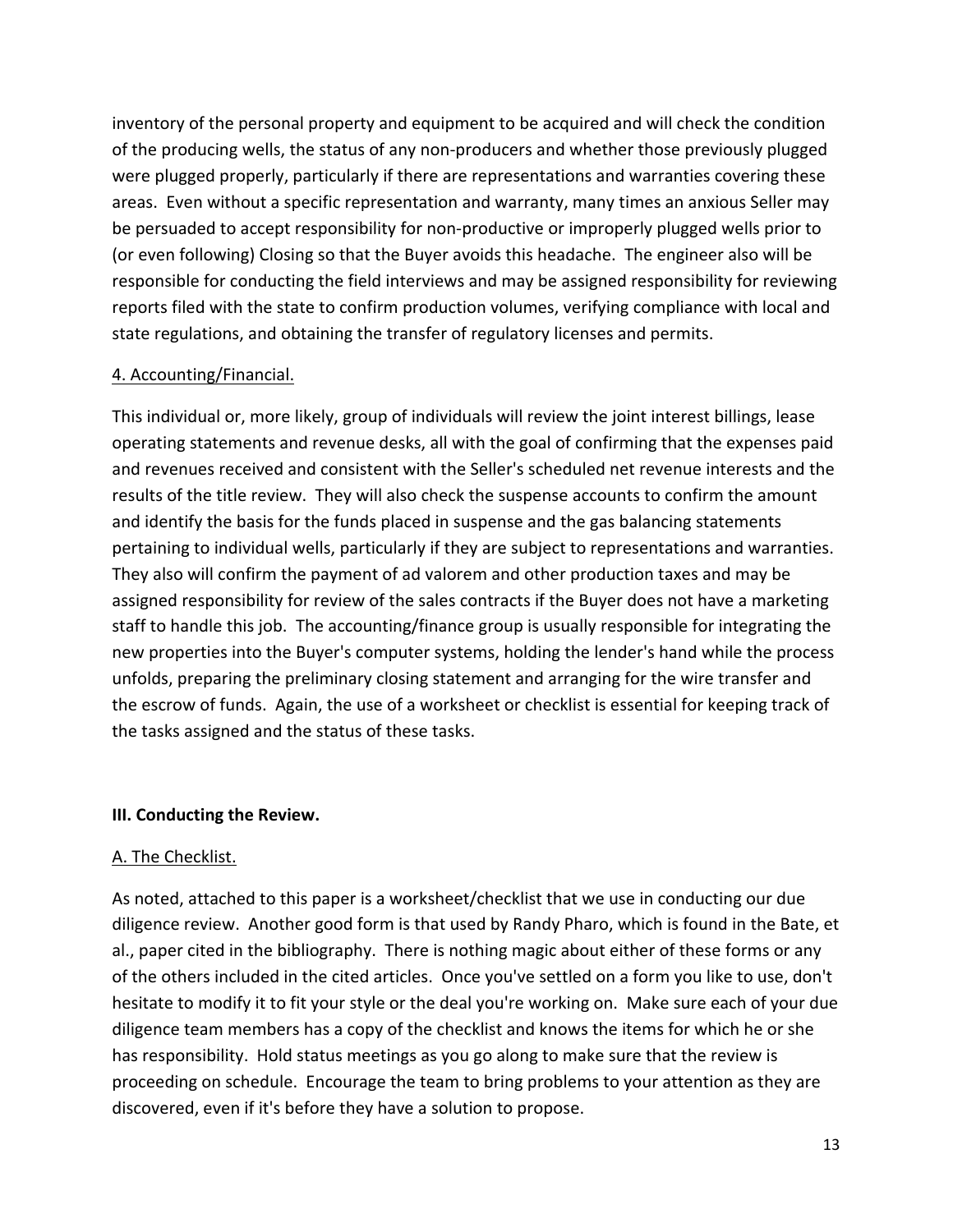inventory of the personal property and equipment to be acquired and will check the condition of the producing wells, the status of any non‐producers and whether those previously plugged were plugged properly, particularly if there are representations and warranties covering these areas. Even without a specific representation and warranty, many times an anxious Seller may be persuaded to accept responsibility for non-productive or improperly plugged wells prior to (or even following) Closing so that the Buyer avoids this headache. The engineer also will be responsible for conducting the field interviews and may be assigned responsibility for reviewing reports filed with the state to confirm production volumes, verifying compliance with local and state regulations, and obtaining the transfer of regulatory licenses and permits.

### 4. Accounting/Financial.

This individual or, more likely, group of individuals will review the joint interest billings, lease operating statements and revenue desks, all with the goal of confirming that the expenses paid and revenues received and consistent with the Seller's scheduled net revenue interests and the results of the title review. They will also check the suspense accounts to confirm the amount and identify the basis for the funds placed in suspense and the gas balancing statements pertaining to individual wells, particularly if they are subject to representations and warranties. They also will confirm the payment of ad valorem and other production taxes and may be assigned responsibility for review of the sales contracts if the Buyer does not have a marketing staff to handle this job. The accounting/finance group is usually responsible for integrating the new properties into the Buyer's computer systems, holding the lender's hand while the process unfolds, preparing the preliminary closing statement and arranging for the wire transfer and the escrow of funds. Again, the use of a worksheet or checklist is essential for keeping track of the tasks assigned and the status of these tasks.

#### **III. Conducting the Review.**

#### A. The Checklist.

As noted, attached to this paper is a worksheet/checklist that we use in conducting our due diligence review. Another good form is that used by Randy Pharo, which is found in the Bate, et al., paper cited in the bibliography. There is nothing magic about either of these forms or any of the others included in the cited articles. Once you've settled on a form you like to use, don't hesitate to modify it to fit your style or the deal you're working on. Make sure each of your due diligence team members has a copy of the checklist and knows the items for which he or she has responsibility. Hold status meetings as you go along to make sure that the review is proceeding on schedule. Encourage the team to bring problems to your attention as they are discovered, even if it's before they have a solution to propose.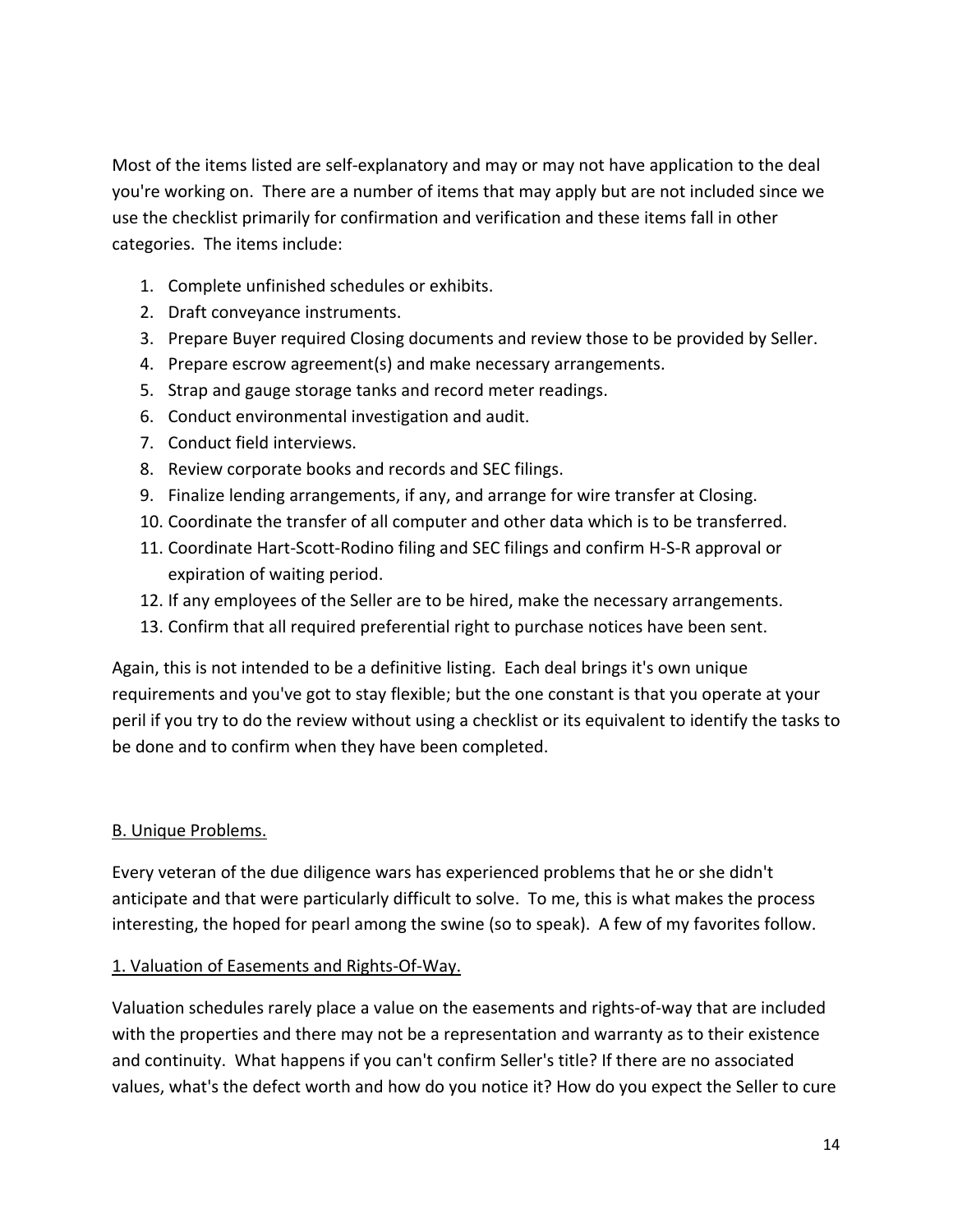Most of the items listed are self‐explanatory and may or may not have application to the deal you're working on. There are a number of items that may apply but are not included since we use the checklist primarily for confirmation and verification and these items fall in other categories. The items include:

- 1. Complete unfinished schedules or exhibits.
- 2. Draft conveyance instruments.
- 3. Prepare Buyer required Closing documents and review those to be provided by Seller.
- 4. Prepare escrow agreement(s) and make necessary arrangements.
- 5. Strap and gauge storage tanks and record meter readings.
- 6. Conduct environmental investigation and audit.
- 7. Conduct field interviews.
- 8. Review corporate books and records and SEC filings.
- 9. Finalize lending arrangements, if any, and arrange for wire transfer at Closing.
- 10. Coordinate the transfer of all computer and other data which is to be transferred.
- 11. Coordinate Hart-Scott-Rodino filing and SEC filings and confirm H-S-R approval or expiration of waiting period.
- 12. If any employees of the Seller are to be hired, make the necessary arrangements.
- 13. Confirm that all required preferential right to purchase notices have been sent.

Again, this is not intended to be a definitive listing. Each deal brings it's own unique requirements and you've got to stay flexible; but the one constant is that you operate at your peril if you try to do the review without using a checklist or its equivalent to identify the tasks to be done and to confirm when they have been completed.

## B. Unique Problems.

Every veteran of the due diligence wars has experienced problems that he or she didn't anticipate and that were particularly difficult to solve. To me, this is what makes the process interesting, the hoped for pearl among the swine (so to speak). A few of my favorites follow.

1. Valuation of Easements and Rights‐Of‐Way.

Valuation schedules rarely place a value on the easements and rights‐of‐way that are included with the properties and there may not be a representation and warranty as to their existence and continuity. What happens if you can't confirm Seller's title? If there are no associated values, what's the defect worth and how do you notice it? How do you expect the Seller to cure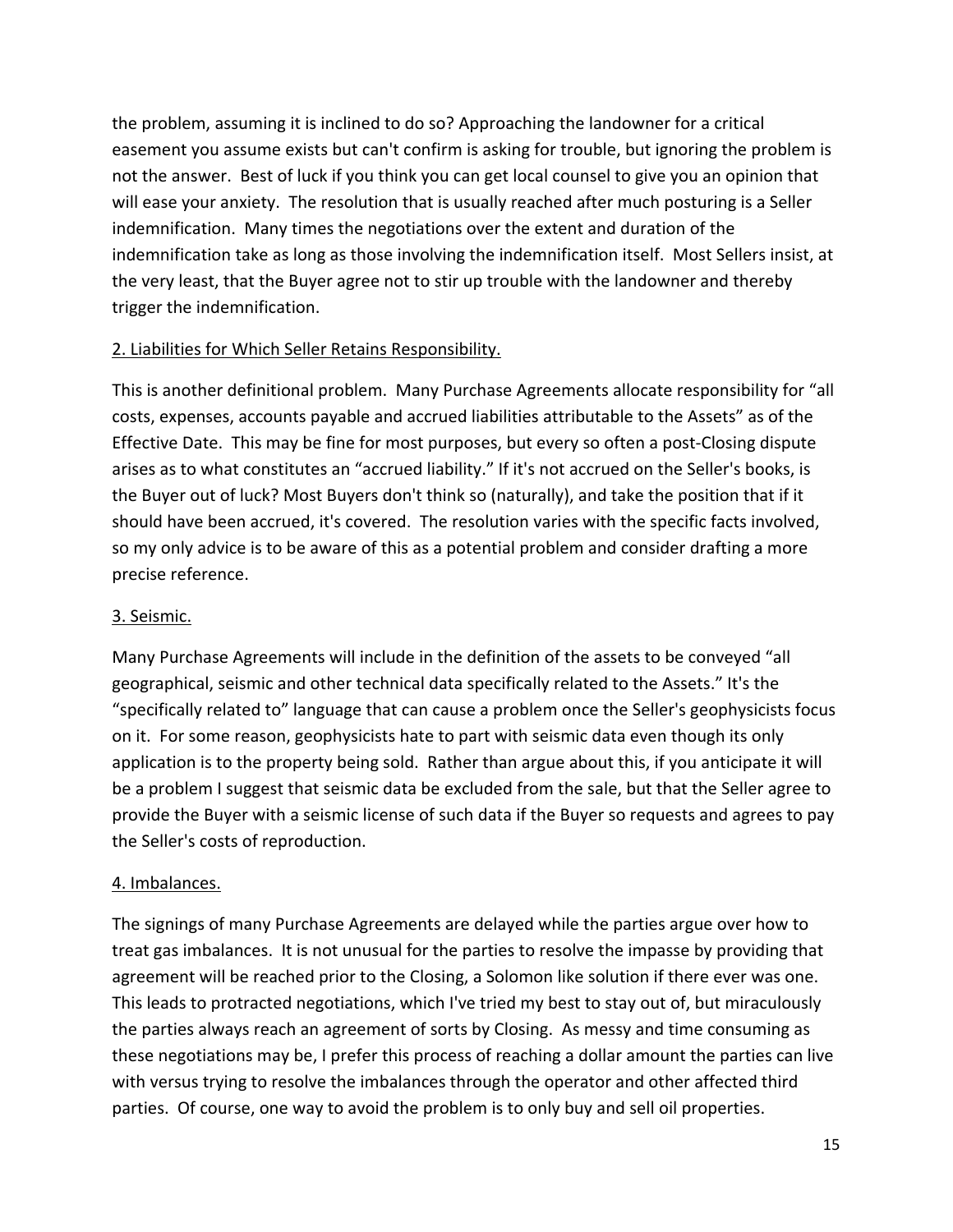the problem, assuming it is inclined to do so? Approaching the landowner for a critical easement you assume exists but can't confirm is asking for trouble, but ignoring the problem is not the answer. Best of luck if you think you can get local counsel to give you an opinion that will ease your anxiety. The resolution that is usually reached after much posturing is a Seller indemnification. Many times the negotiations over the extent and duration of the indemnification take as long as those involving the indemnification itself. Most Sellers insist, at the very least, that the Buyer agree not to stir up trouble with the landowner and thereby trigger the indemnification.

## 2. Liabilities for Which Seller Retains Responsibility.

This is another definitional problem. Many Purchase Agreements allocate responsibility for "all costs, expenses, accounts payable and accrued liabilities attributable to the Assets" as of the Effective Date. This may be fine for most purposes, but every so often a post-Closing dispute arises as to what constitutes an "accrued liability." If it's not accrued on the Seller's books, is the Buyer out of luck? Most Buyers don't think so (naturally), and take the position that if it should have been accrued, it's covered. The resolution varies with the specific facts involved, so my only advice is to be aware of this as a potential problem and consider drafting a more precise reference.

## 3. Seismic.

Many Purchase Agreements will include in the definition of the assets to be conveyed "all geographical, seismic and other technical data specifically related to the Assets." It's the "specifically related to" language that can cause a problem once the Seller's geophysicists focus on it. For some reason, geophysicists hate to part with seismic data even though its only application is to the property being sold. Rather than argue about this, if you anticipate it will be a problem I suggest that seismic data be excluded from the sale, but that the Seller agree to provide the Buyer with a seismic license of such data if the Buyer so requests and agrees to pay the Seller's costs of reproduction.

## 4. Imbalances.

The signings of many Purchase Agreements are delayed while the parties argue over how to treat gas imbalances. It is not unusual for the parties to resolve the impasse by providing that agreement will be reached prior to the Closing, a Solomon like solution if there ever was one. This leads to protracted negotiations, which I've tried my best to stay out of, but miraculously the parties always reach an agreement of sorts by Closing. As messy and time consuming as these negotiations may be, I prefer this process of reaching a dollar amount the parties can live with versus trying to resolve the imbalances through the operator and other affected third parties. Of course, one way to avoid the problem is to only buy and sell oil properties.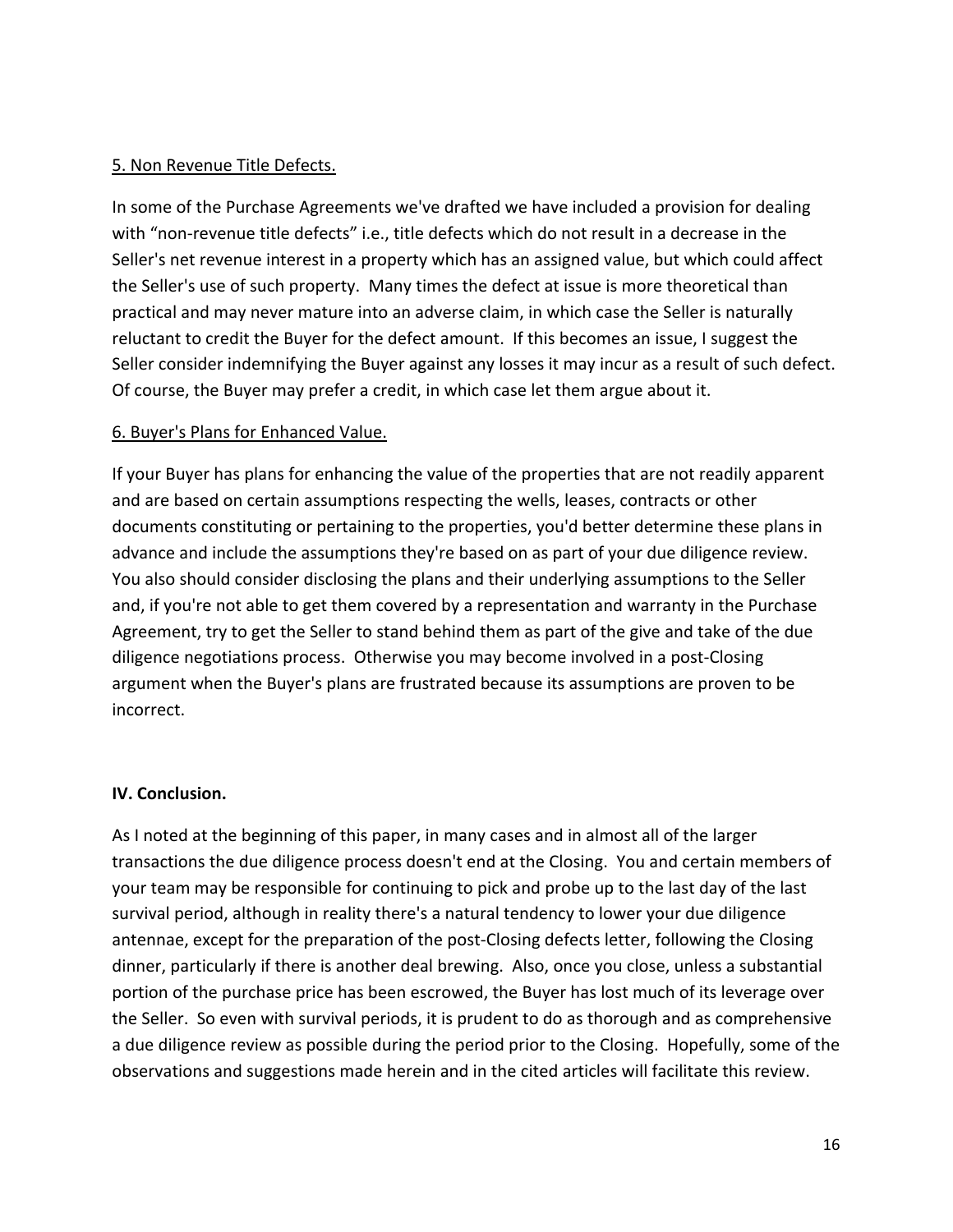### 5. Non Revenue Title Defects.

In some of the Purchase Agreements we've drafted we have included a provision for dealing with "non-revenue title defects" i.e., title defects which do not result in a decrease in the Seller's net revenue interest in a property which has an assigned value, but which could affect the Seller's use of such property. Many times the defect at issue is more theoretical than practical and may never mature into an adverse claim, in which case the Seller is naturally reluctant to credit the Buyer for the defect amount. If this becomes an issue, I suggest the Seller consider indemnifying the Buyer against any losses it may incur as a result of such defect. Of course, the Buyer may prefer a credit, in which case let them argue about it.

### 6. Buyer's Plans for Enhanced Value.

If your Buyer has plans for enhancing the value of the properties that are not readily apparent and are based on certain assumptions respecting the wells, leases, contracts or other documents constituting or pertaining to the properties, you'd better determine these plans in advance and include the assumptions they're based on as part of your due diligence review. You also should consider disclosing the plans and their underlying assumptions to the Seller and, if you're not able to get them covered by a representation and warranty in the Purchase Agreement, try to get the Seller to stand behind them as part of the give and take of the due diligence negotiations process. Otherwise you may become involved in a post‐Closing argument when the Buyer's plans are frustrated because its assumptions are proven to be incorrect.

#### **IV. Conclusion.**

As I noted at the beginning of this paper, in many cases and in almost all of the larger transactions the due diligence process doesn't end at the Closing. You and certain members of your team may be responsible for continuing to pick and probe up to the last day of the last survival period, although in reality there's a natural tendency to lower your due diligence antennae, except for the preparation of the post‐Closing defects letter, following the Closing dinner, particularly if there is another deal brewing. Also, once you close, unless a substantial portion of the purchase price has been escrowed, the Buyer has lost much of its leverage over the Seller. So even with survival periods, it is prudent to do as thorough and as comprehensive a due diligence review as possible during the period prior to the Closing. Hopefully, some of the observations and suggestions made herein and in the cited articles will facilitate this review.